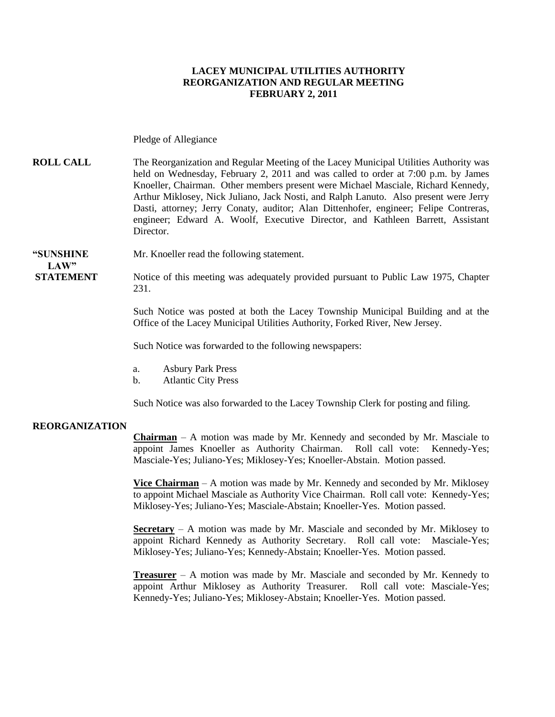#### **LACEY MUNICIPAL UTILITIES AUTHORITY REORGANIZATION AND REGULAR MEETING FEBRUARY 2, 2011**

Pledge of Allegiance

**ROLL CALL** The Reorganization and Regular Meeting of the Lacey Municipal Utilities Authority was held on Wednesday, February 2, 2011 and was called to order at 7:00 p.m. by James Knoeller, Chairman. Other members present were Michael Masciale, Richard Kennedy, Arthur Miklosey, Nick Juliano, Jack Nosti, and Ralph Lanuto. Also present were Jerry Dasti, attorney; Jerry Conaty, auditor; Alan Dittenhofer, engineer; Felipe Contreras, engineer; Edward A. Woolf, Executive Director, and Kathleen Barrett, Assistant **Director** 

#### **"SUNSHINE** Mr. Knoeller read the following statement.

**STATEMENT** Notice of this meeting was adequately provided pursuant to Public Law 1975, Chapter 231.

> Such Notice was posted at both the Lacey Township Municipal Building and at the Office of the Lacey Municipal Utilities Authority, Forked River, New Jersey.

Such Notice was forwarded to the following newspapers:

- a. Asbury Park Press
- b. Atlantic City Press

Such Notice was also forwarded to the Lacey Township Clerk for posting and filing.

#### **REORGANIZATION**

 $LAW"$ 

**Chairman** – A motion was made by Mr. Kennedy and seconded by Mr. Masciale to appoint James Knoeller as Authority Chairman. Roll call vote: Kennedy-Yes; Masciale-Yes; Juliano-Yes; Miklosey-Yes; Knoeller-Abstain. Motion passed.

**Vice Chairman** – A motion was made by Mr. Kennedy and seconded by Mr. Miklosey to appoint Michael Masciale as Authority Vice Chairman. Roll call vote: Kennedy-Yes; Miklosey-Yes; Juliano-Yes; Masciale-Abstain; Knoeller-Yes. Motion passed.

**Secretary** – A motion was made by Mr. Masciale and seconded by Mr. Miklosey to appoint Richard Kennedy as Authority Secretary. Roll call vote: Masciale-Yes; Miklosey-Yes; Juliano-Yes; Kennedy-Abstain; Knoeller-Yes. Motion passed.

**Treasurer** – A motion was made by Mr. Masciale and seconded by Mr. Kennedy to appoint Arthur Miklosey as Authority Treasurer. Roll call vote: Masciale-Yes; Kennedy-Yes; Juliano-Yes; Miklosey-Abstain; Knoeller-Yes. Motion passed.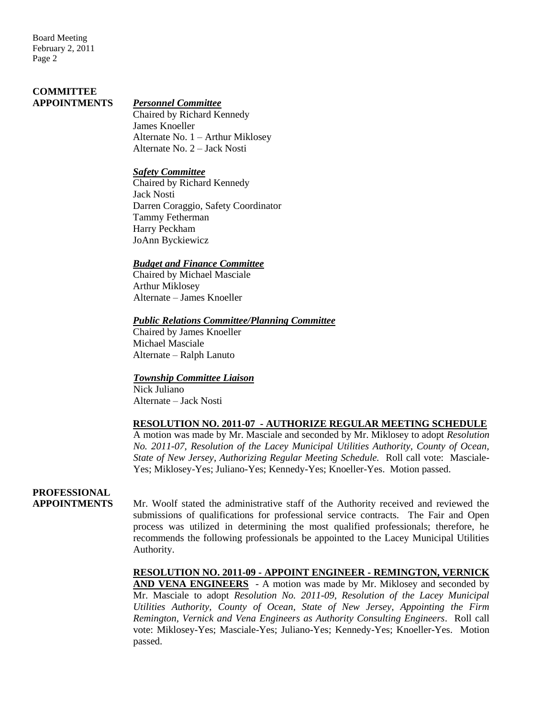Board Meeting February 2, 2011 Page 2

## **COMMITTEE**

#### **APPOINTMENTS** *Personnel Committee*

Chaired by Richard Kennedy James Knoeller Alternate No. 1 – Arthur Miklosey Alternate No. 2 – Jack Nosti

#### *Safety Committee*

Chaired by Richard Kennedy Jack Nosti Darren Coraggio, Safety Coordinator Tammy Fetherman Harry Peckham JoAnn Byckiewicz

#### *Budget and Finance Committee*

Chaired by Michael Masciale Arthur Miklosey Alternate – James Knoeller

#### *Public Relations Committee/Planning Committee*

Chaired by James Knoeller Michael Masciale Alternate – Ralph Lanuto

#### *Township Committee Liaison*

Nick Juliano Alternate – Jack Nosti

#### **RESOLUTION NO. 2011-07 - AUTHORIZE REGULAR MEETING SCHEDULE**

A motion was made by Mr. Masciale and seconded by Mr. Miklosey to adopt *Resolution No. 2011-07, Resolution of the Lacey Municipal Utilities Authority, County of Ocean, State of New Jersey*, *Authorizing Regular Meeting Schedule.* Roll call vote: Masciale-Yes; Miklosey-Yes; Juliano-Yes; Kennedy-Yes; Knoeller-Yes. Motion passed.

### **PROFESSIONAL**

**APPOINTMENTS** Mr. Woolf stated the administrative staff of the Authority received and reviewed the submissions of qualifications for professional service contracts. The Fair and Open process was utilized in determining the most qualified professionals; therefore, he recommends the following professionals be appointed to the Lacey Municipal Utilities Authority.

#### **RESOLUTION NO. 2011-09 - APPOINT ENGINEER - REMINGTON, VERNICK**

**AND VENA ENGINEERS** - A motion was made by Mr. Miklosey and seconded by Mr. Masciale to adopt *Resolution No. 2011-09, Resolution of the Lacey Municipal Utilities Authority, County of Ocean, State of New Jersey, Appointing the Firm Remington, Vernick and Vena Engineers as Authority Consulting Engineers*. Roll call vote: Miklosey-Yes; Masciale-Yes; Juliano-Yes; Kennedy-Yes; Knoeller-Yes. Motion passed.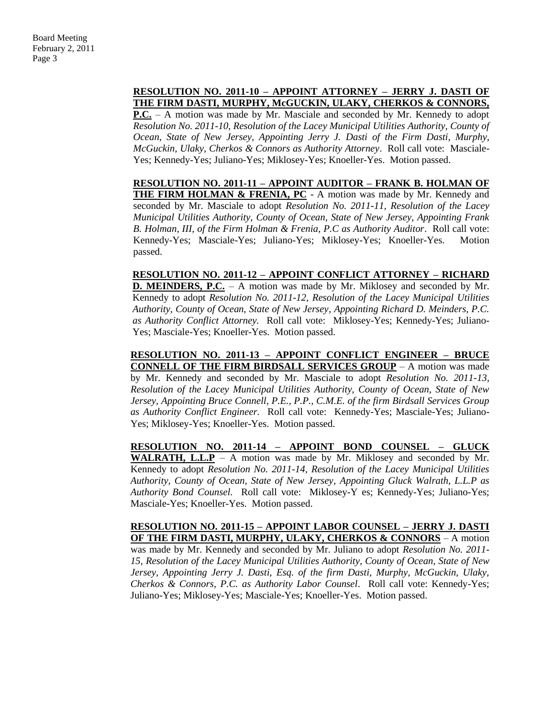#### **RESOLUTION NO. 2011-10 – APPOINT ATTORNEY – JERRY J. DASTI OF THE FIRM DASTI, MURPHY, McGUCKIN, ULAKY, CHERKOS & CONNORS,**

**P.C.** – A motion was made by Mr. Masciale and seconded by Mr. Kennedy to adopt *Resolution No. 2011-10, Resolution of the Lacey Municipal Utilities Authority, County of Ocean, State of New Jersey, Appointing Jerry J. Dasti of the Firm Dasti, Murphy*, *McGuckin, Ulaky, Cherkos & Connors as Authority Attorney*. Roll call vote: Masciale-Yes; Kennedy-Yes; Juliano-Yes; Miklosey-Yes; Knoeller-Yes. Motion passed.

**RESOLUTION NO. 2011-11 – APPOINT AUDITOR – FRANK B. HOLMAN OF**  THE FIRM HOLMAN & FRENIA, PC - A motion was made by Mr. Kennedy and seconded by Mr. Masciale to adopt *Resolution No. 2011-11, Resolution of the Lacey Municipal Utilities Authority, County of Ocean, State of New Jersey, Appointing Frank B. Holman, III, of the Firm Holman & Frenia, P.C as Authority Auditor*. Roll call vote: Kennedy-Yes; Masciale-Yes; Juliano-Yes; Miklosey-Yes; Knoeller-Yes. Motion passed.

**RESOLUTION NO. 2011-12 – APPOINT CONFLICT ATTORNEY – RICHARD D. MEINDERS, P.C.** – A motion was made by Mr. Miklosey and seconded by Mr. Kennedy to adopt *Resolution No. 2011-12, Resolution of the Lacey Municipal Utilities Authority, County of Ocean, State of New Jersey*, *Appointing Richard D. Meinders, P.C. as Authority Conflict Attorney.* Roll call vote: Miklosey-Yes; Kennedy-Yes; Juliano-Yes; Masciale-Yes; Knoeller-Yes. Motion passed.

**RESOLUTION NO. 2011-13 – APPOINT CONFLICT ENGINEER – BRUCE CONNELL OF THE FIRM BIRDSALL SERVICES GROUP** – A motion was made by Mr. Kennedy and seconded by Mr. Masciale to adopt *Resolution No. 2011-13, Resolution of the Lacey Municipal Utilities Authority, County of Ocean, State of New Jersey*, *Appointing Bruce Connell, P.E., P.P., C.M.E. of the firm Birdsall Services Group as Authority Conflict Engineer.* Roll call vote: Kennedy-Yes; Masciale-Yes; Juliano-Yes; Miklosey-Yes; Knoeller-Yes. Motion passed.

**RESOLUTION NO. 2011-14 – APPOINT BOND COUNSEL – GLUCK WALRATH, L.L.P** – A motion was made by Mr. Miklosey and seconded by Mr. Kennedy to adopt *Resolution No. 2011-14, Resolution of the Lacey Municipal Utilities Authority, County of Ocean, State of New Jersey*, *Appointing Gluck Walrath, L.L.P as Authority Bond Counsel.* Roll call vote: Miklosey-Y es; Kennedy-Yes; Juliano-Yes; Masciale-Yes; Knoeller-Yes. Motion passed.

**RESOLUTION NO. 2011-15 – APPOINT LABOR COUNSEL – JERRY J. DASTI OF THE FIRM DASTI, MURPHY, ULAKY, CHERKOS & CONNORS** – A motion was made by Mr. Kennedy and seconded by Mr. Juliano to adopt *Resolution No. 2011- 15, Resolution of the Lacey Municipal Utilities Authority, County of Ocean, State of New Jersey, Appointing Jerry J. Dasti, Esq. of the firm Dasti, Murphy, McGuckin, Ulaky, Cherkos & Connors, P.C. as Authority Labor Counsel*. Roll call vote: Kennedy-Yes; Juliano-Yes; Miklosey-Yes; Masciale-Yes; Knoeller-Yes. Motion passed.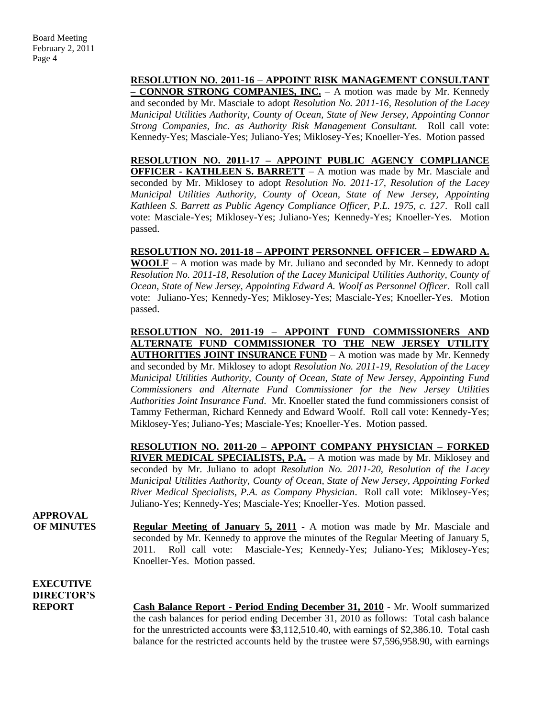#### **RESOLUTION NO. 2011-16 – APPOINT RISK MANAGEMENT CONSULTANT**

**– CONNOR STRONG COMPANIES, INC.** – A motion was made by Mr. Kennedy and seconded by Mr. Masciale to adopt *Resolution No. 2011-16, Resolution of the Lacey Municipal Utilities Authority, County of Ocean, State of New Jersey, Appointing Connor Strong Companies, Inc. as Authority Risk Management Consultant.* Roll call vote: Kennedy-Yes; Masciale-Yes; Juliano-Yes; Miklosey-Yes; Knoeller-Yes. Motion passed

**RESOLUTION NO. 2011-17 – APPOINT PUBLIC AGENCY COMPLIANCE OFFICER - KATHLEEN S. BARRETT** – A motion was made by Mr. Masciale and seconded by Mr. Miklosey to adopt *Resolution No. 2011-17, Resolution of the Lacey Municipal Utilities Authority, County of Ocean, State of New Jersey, Appointing Kathleen S. Barrett as Public Agency Compliance Officer, P.L. 1975, c. 127*. Roll call vote: Masciale-Yes; Miklosey-Yes; Juliano-Yes; Kennedy-Yes; Knoeller-Yes. Motion passed.

#### **RESOLUTION NO. 2011-18 – APPOINT PERSONNEL OFFICER – EDWARD A.**

**WOOLF** – A motion was made by Mr. Juliano and seconded by Mr. Kennedy to adopt *Resolution No. 2011-18, Resolution of the Lacey Municipal Utilities Authority, County of Ocean, State of New Jersey, Appointing Edward A. Woolf as Personnel Officer*. Roll call vote: Juliano-Yes; Kennedy-Yes; Miklosey-Yes; Masciale-Yes; Knoeller-Yes. Motion passed.

#### **RESOLUTION NO. 2011-19 – APPOINT FUND COMMISSIONERS AND ALTERNATE FUND COMMISSIONER TO THE NEW JERSEY UTILITY AUTHORITIES JOINT INSURANCE FUND** – A motion was made by Mr. Kennedy

and seconded by Mr. Miklosey to adopt *Resolution No. 2011-19, Resolution of the Lacey Municipal Utilities Authority, County of Ocean, State of New Jersey, Appointing Fund Commissioners and Alternate Fund Commissioner for the New Jersey Utilities Authorities Joint Insurance Fund*. Mr. Knoeller stated the fund commissioners consist of Tammy Fetherman, Richard Kennedy and Edward Woolf. Roll call vote: Kennedy-Yes; Miklosey-Yes; Juliano-Yes; Masciale-Yes; Knoeller-Yes. Motion passed.

**RESOLUTION NO. 2011-20 – APPOINT COMPANY PHYSICIAN – FORKED RIVER MEDICAL SPECIALISTS, P.A.** – A motion was made by Mr. Miklosey and seconded by Mr. Juliano to adopt *Resolution No. 2011-20, Resolution of the Lacey Municipal Utilities Authority, County of Ocean, State of New Jersey, Appointing Forked River Medical Specialists, P.A. as Company Physician*. Roll call vote: Miklosey-Yes; Juliano-Yes; Kennedy-Yes; Masciale-Yes; Knoeller-Yes. Motion passed.

**APPROVAL**

**OF MINUTES Regular Meeting of January 5, 2011 -** A motion was made by Mr. Masciale and seconded by Mr. Kennedy to approve the minutes of the Regular Meeting of January 5, 2011. Roll call vote: Masciale-Yes; Kennedy-Yes; Juliano-Yes; Miklosey-Yes; Knoeller-Yes. Motion passed.

**EXECUTIVE DIRECTOR'S**

**REPORT Cash Balance Report - Period Ending December 31, 2010** - Mr. Woolf summarized the cash balances for period ending December 31, 2010 as follows: Total cash balance for the unrestricted accounts were \$3,112,510.40, with earnings of \$2,386.10. Total cash balance for the restricted accounts held by the trustee were \$7,596,958.90, with earnings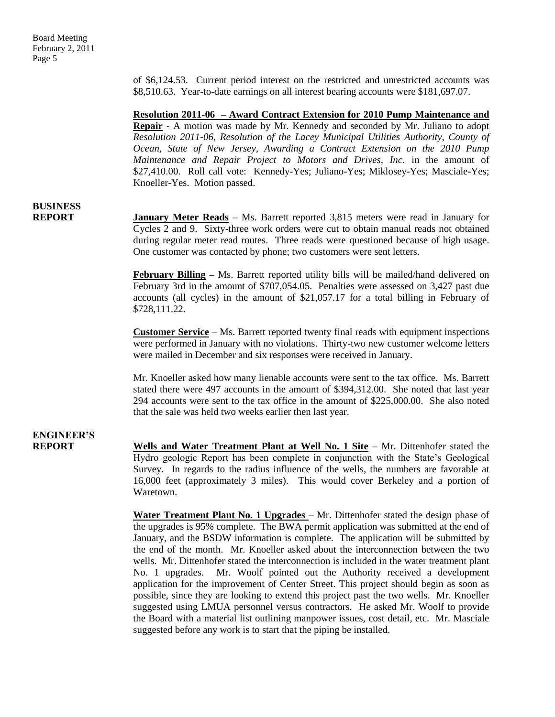of \$6,124.53. Current period interest on the restricted and unrestricted accounts was \$8,510.63. Year-to-date earnings on all interest bearing accounts were \$181,697.07.

**Resolution 2011-06 – Award Contract Extension for 2010 Pump Maintenance and Repair** - A motion was made by Mr. Kennedy and seconded by Mr. Juliano to adopt *Resolution 2011-06, Resolution of the Lacey Municipal Utilities Authority, County of Ocean, State of New Jersey, Awarding a Contract Extension on the 2010 Pump Maintenance and Repair Project to Motors and Drives, Inc.* in the amount of \$27,410.00. Roll call vote: Kennedy-Yes; Juliano-Yes; Miklosey-Yes; Masciale-Yes; Knoeller-Yes. Motion passed.

## **BUSINESS**

**REPORT January Meter Reads** – Ms. Barrett reported 3,815 meters were read in January for Cycles 2 and 9. Sixty-three work orders were cut to obtain manual reads not obtained during regular meter read routes. Three reads were questioned because of high usage. One customer was contacted by phone; two customers were sent letters.

> **February Billing –** Ms. Barrett reported utility bills will be mailed/hand delivered on February 3rd in the amount of \$707,054.05. Penalties were assessed on 3,427 past due accounts (all cycles) in the amount of \$21,057.17 for a total billing in February of \$728,111.22.

> **Customer Service** – Ms. Barrett reported twenty final reads with equipment inspections were performed in January with no violations. Thirty-two new customer welcome letters were mailed in December and six responses were received in January.

> Mr. Knoeller asked how many lienable accounts were sent to the tax office. Ms. Barrett stated there were 497 accounts in the amount of \$394,312.00. She noted that last year 294 accounts were sent to the tax office in the amount of \$225,000.00. She also noted that the sale was held two weeks earlier then last year.

## **ENGINEER'S**

**REPORT Wells and Water Treatment Plant at Well No. 1 Site** – Mr. Dittenhofer stated the Hydro geologic Report has been complete in conjunction with the State's Geological Survey. In regards to the radius influence of the wells, the numbers are favorable at 16,000 feet (approximately 3 miles). This would cover Berkeley and a portion of Waretown.

> **Water Treatment Plant No. 1 Upgrades** – Mr. Dittenhofer stated the design phase of the upgrades is 95% complete. The BWA permit application was submitted at the end of January, and the BSDW information is complete. The application will be submitted by the end of the month. Mr. Knoeller asked about the interconnection between the two wells. Mr. Dittenhofer stated the interconnection is included in the water treatment plant No. 1 upgrades. Mr. Woolf pointed out the Authority received a development application for the improvement of Center Street. This project should begin as soon as possible, since they are looking to extend this project past the two wells. Mr. Knoeller suggested using LMUA personnel versus contractors. He asked Mr. Woolf to provide the Board with a material list outlining manpower issues, cost detail, etc. Mr. Masciale suggested before any work is to start that the piping be installed.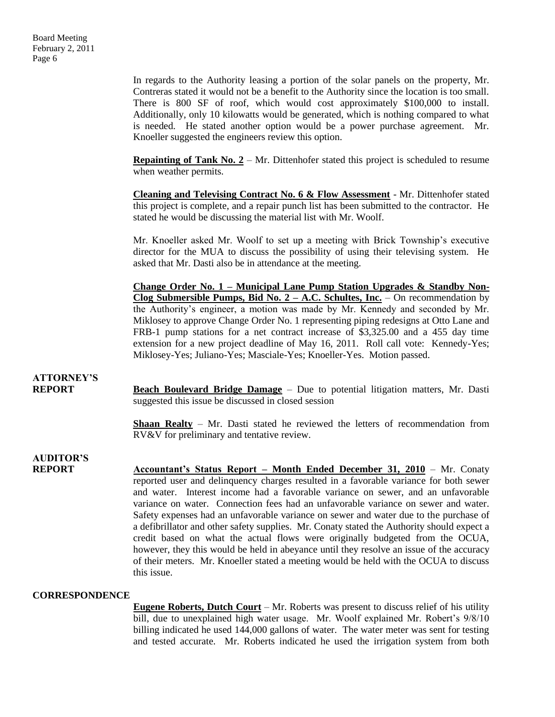In regards to the Authority leasing a portion of the solar panels on the property, Mr. Contreras stated it would not be a benefit to the Authority since the location is too small. There is 800 SF of roof, which would cost approximately \$100,000 to install. Additionally, only 10 kilowatts would be generated, which is nothing compared to what is needed. He stated another option would be a power purchase agreement. Mr. Knoeller suggested the engineers review this option.

**Repainting of Tank No. 2** – Mr. Dittenhofer stated this project is scheduled to resume when weather permits.

**Cleaning and Televising Contract No. 6 & Flow Assessment** - Mr. Dittenhofer stated this project is complete, and a repair punch list has been submitted to the contractor. He stated he would be discussing the material list with Mr. Woolf.

Mr. Knoeller asked Mr. Woolf to set up a meeting with Brick Township's executive director for the MUA to discuss the possibility of using their televising system. He asked that Mr. Dasti also be in attendance at the meeting.

**Change Order No. 1 – Municipal Lane Pump Station Upgrades & Standby Non-Clog Submersible Pumps, Bid No. 2 – A.C. Schultes, Inc.** – On recommendation by the Authority's engineer, a motion was made by Mr. Kennedy and seconded by Mr. Miklosey to approve Change Order No. 1 representing piping redesigns at Otto Lane and FRB-1 pump stations for a net contract increase of \$3,325.00 and a 455 day time extension for a new project deadline of May 16, 2011. Roll call vote: Kennedy-Yes; Miklosey-Yes; Juliano-Yes; Masciale-Yes; Knoeller-Yes. Motion passed.

### **ATTORNEY'S**

**REPORT Beach Boulevard Bridge Damage** – Due to potential litigation matters, Mr. Dasti suggested this issue be discussed in closed session

> **Shaan Realty** – Mr. Dasti stated he reviewed the letters of recommendation from RV&V for preliminary and tentative review.

### **AUDITOR'S**

**REPORT Accountant's Status Report – Month Ended December 31, 2010** – Mr. Conaty reported user and delinquency charges resulted in a favorable variance for both sewer and water. Interest income had a favorable variance on sewer, and an unfavorable variance on water. Connection fees had an unfavorable variance on sewer and water. Safety expenses had an unfavorable variance on sewer and water due to the purchase of a defibrillator and other safety supplies. Mr. Conaty stated the Authority should expect a credit based on what the actual flows were originally budgeted from the OCUA, however, they this would be held in abeyance until they resolve an issue of the accuracy of their meters. Mr. Knoeller stated a meeting would be held with the OCUA to discuss this issue.

#### **CORRESPONDENCE**

**Eugene Roberts, Dutch Court** – Mr. Roberts was present to discuss relief of his utility bill, due to unexplained high water usage. Mr. Woolf explained Mr. Robert's 9/8/10 billing indicated he used 144,000 gallons of water. The water meter was sent for testing and tested accurate. Mr. Roberts indicated he used the irrigation system from both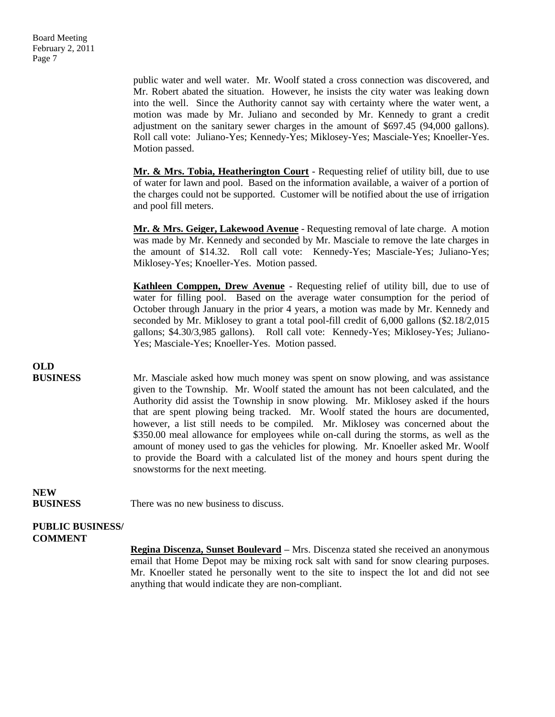public water and well water. Mr. Woolf stated a cross connection was discovered, and Mr. Robert abated the situation. However, he insists the city water was leaking down into the well. Since the Authority cannot say with certainty where the water went, a motion was made by Mr. Juliano and seconded by Mr. Kennedy to grant a credit adjustment on the sanitary sewer charges in the amount of \$697.45 (94,000 gallons). Roll call vote: Juliano-Yes; Kennedy-Yes; Miklosey-Yes; Masciale-Yes; Knoeller-Yes. Motion passed.

**Mr. & Mrs. Tobia, Heatherington Court** - Requesting relief of utility bill, due to use of water for lawn and pool. Based on the information available, a waiver of a portion of the charges could not be supported. Customer will be notified about the use of irrigation and pool fill meters.

**Mr. & Mrs. Geiger, Lakewood Avenue** - Requesting removal of late charge. A motion was made by Mr. Kennedy and seconded by Mr. Masciale to remove the late charges in the amount of \$14.32. Roll call vote: Kennedy-Yes; Masciale-Yes; Juliano-Yes; Miklosey-Yes; Knoeller-Yes. Motion passed.

**Kathleen Comppen, Drew Avenue** - Requesting relief of utility bill, due to use of water for filling pool. Based on the average water consumption for the period of October through January in the prior 4 years, a motion was made by Mr. Kennedy and seconded by Mr. Miklosey to grant a total pool-fill credit of 6,000 gallons (\$2.18/2,015 gallons; \$4.30/3,985 gallons). Roll call vote: Kennedy-Yes; Miklosey-Yes; Juliano-Yes; Masciale-Yes; Knoeller-Yes. Motion passed.

# **OLD**

**BUSINESS** Mr. Masciale asked how much money was spent on snow plowing, and was assistance given to the Township. Mr. Woolf stated the amount has not been calculated, and the Authority did assist the Township in snow plowing. Mr. Miklosey asked if the hours that are spent plowing being tracked. Mr. Woolf stated the hours are documented, however, a list still needs to be compiled. Mr. Miklosey was concerned about the \$350.00 meal allowance for employees while on-call during the storms, as well as the amount of money used to gas the vehicles for plowing. Mr. Knoeller asked Mr. Woolf to provide the Board with a calculated list of the money and hours spent during the snowstorms for the next meeting.

### **NEW**

**BUSINESS** There was no new business to discuss.

#### **PUBLIC BUSINESS/ COMMENT**

**Regina Discenza, Sunset Boulevard –** Mrs. Discenza stated she received an anonymous email that Home Depot may be mixing rock salt with sand for snow clearing purposes. Mr. Knoeller stated he personally went to the site to inspect the lot and did not see anything that would indicate they are non-compliant.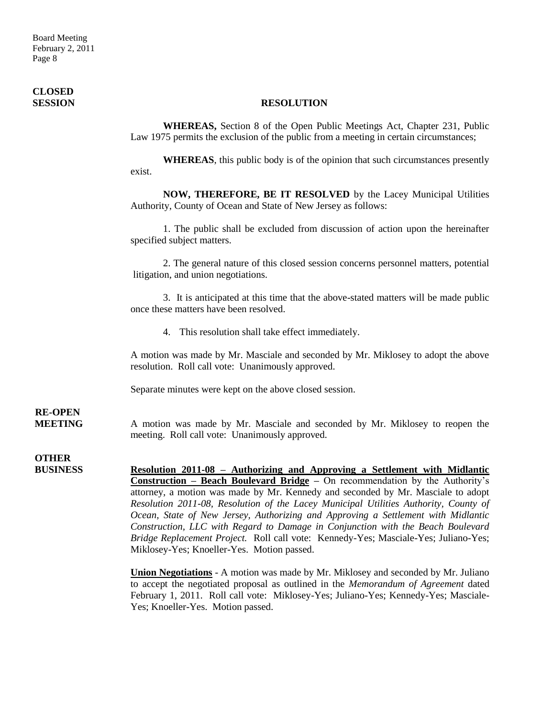## **CLOSED**

#### **SESSION RESOLUTION**

**WHEREAS,** Section 8 of the Open Public Meetings Act, Chapter 231, Public Law 1975 permits the exclusion of the public from a meeting in certain circumstances;

**WHEREAS**, this public body is of the opinion that such circumstances presently exist.

**NOW, THEREFORE, BE IT RESOLVED** by the Lacey Municipal Utilities Authority, County of Ocean and State of New Jersey as follows:

1. The public shall be excluded from discussion of action upon the hereinafter specified subject matters.

2. The general nature of this closed session concerns personnel matters, potential litigation, and union negotiations.

3. It is anticipated at this time that the above-stated matters will be made public once these matters have been resolved.

4. This resolution shall take effect immediately.

A motion was made by Mr. Masciale and seconded by Mr. Miklosey to adopt the above resolution. Roll call vote: Unanimously approved.

Separate minutes were kept on the above closed session.

### **RE-OPEN**

**MEETING** A motion was made by Mr. Masciale and seconded by Mr. Miklosey to reopen the meeting. Roll call vote: Unanimously approved.

**OTHER**

**BUSINESS Resolution 2011-08 – Authorizing and Approving a Settlement with Midlantic Construction – Beach Boulevard Bridge –** On recommendation by the Authority's attorney, a motion was made by Mr. Kennedy and seconded by Mr. Masciale to adopt *Resolution 2011-08, Resolution of the Lacey Municipal Utilities Authority, County of Ocean, State of New Jersey, Authorizing and Approving a Settlement with Midlantic Construction, LLC with Regard to Damage in Conjunction with the Beach Boulevard Bridge Replacement Project.* Roll call vote: Kennedy-Yes; Masciale-Yes; Juliano-Yes; Miklosey-Yes; Knoeller-Yes. Motion passed.

> **Union Negotiations** - A motion was made by Mr. Miklosey and seconded by Mr. Juliano to accept the negotiated proposal as outlined in the *Memorandum of Agreement* dated February 1, 2011. Roll call vote: Miklosey-Yes; Juliano-Yes; Kennedy-Yes; Masciale-Yes; Knoeller-Yes. Motion passed.